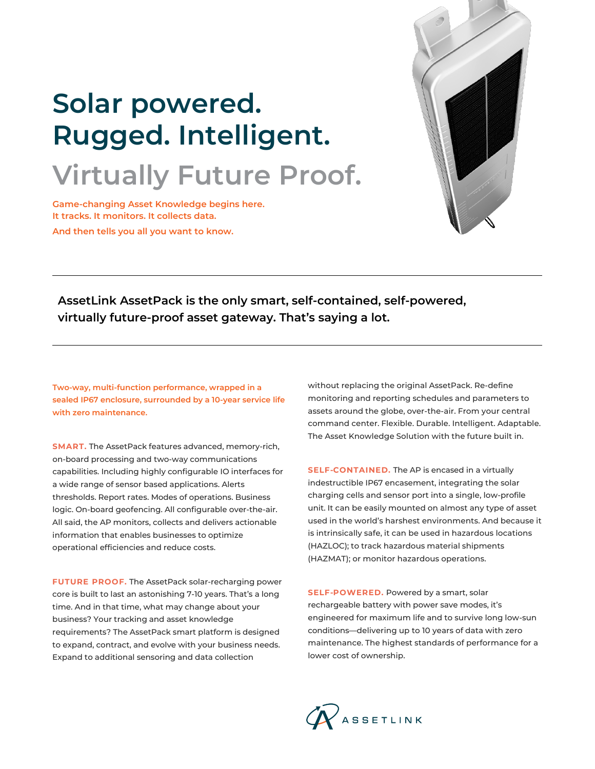

# **Solar powered. Rugged. Intelligent. Virtually Future Proof.**

**Game-changing Asset Knowledge begins here. It tracks. It monitors. It collects data. And then tells you all you want to know.**

**AssetLink AssetPack is the only smart, self-contained, self-powered, virtually future-proof asset gateway. That's saying a lot.**

**Two-way, multi-function performance, wrapped in a sealed IP67 enclosure, surrounded by a 10-year service life with zero maintenance.**

**SMART.** The AssetPack features advanced, memory-rich, on-board processing and two-way communications capabilities. Including highly configurable IO interfaces for a wide range of sensor based applications. Alerts thresholds. Report rates. Modes of operations. Business logic. On-board geofencing. All configurable over-the-air. All said, the AP monitors, collects and delivers actionable information that enables businesses to optimize operational efficiencies and reduce costs.

**FUTURE PROOF.** The AssetPack solar-recharging power core is built to last an astonishing 7-10 years. That's a long time. And in that time, what may change about your business? Your tracking and asset knowledge requirements? The AssetPack smart platform is designed to expand, contract, and evolve with your business needs. Expand to additional sensoring and data collection

without replacing the original AssetPack. Re-define monitoring and reporting schedules and parameters to assets around the globe, over-the-air. From your central command center. Flexible. Durable. Intelligent. Adaptable. The Asset Knowledge Solution with the future built in.

**SELF-CONTAINED.** The AP is encased in a virtually indestructible IP67 encasement, integrating the solar charging cells and sensor port into a single, low-profile unit. It can be easily mounted on almost any type of asset used in the world's harshest environments. And because it is intrinsically safe, it can be used in hazardous locations (HAZLOC); to track hazardous material shipments (HAZMAT); or monitor hazardous operations.

**SELF-POWERED.** Powered by a smart, solar rechargeable battery with power save modes, it's engineered for maximum life and to survive long low-sun conditions—delivering up to 10 years of data with zero maintenance. The highest standards of performance for a lower cost of ownership.